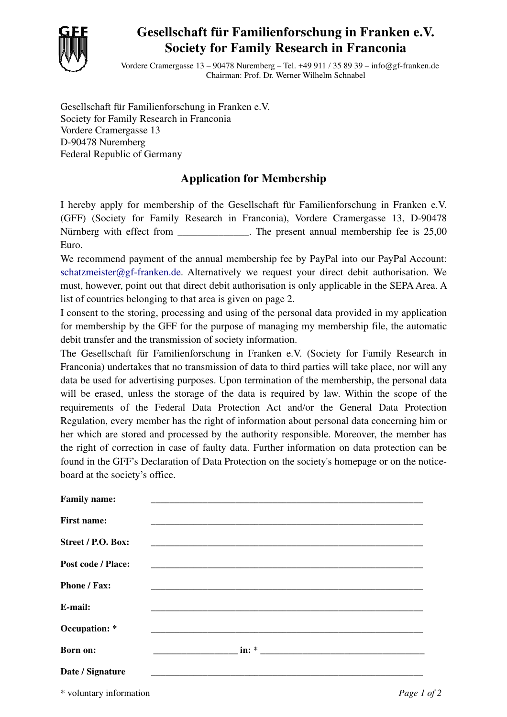

## **Gesellschaft für Familienforschung in Franken e.V. Society for Family Research in Franconia**

Vordere Cramergasse 13 – 90478 Nuremberg – Tel. +49 911 / 35 89 39 – info@gf-franken.de Chairman: Prof. Dr. Werner Wilhelm Schnabel

Gesellschaft für Familienforschung in Franken e.V. Society for Family Research in Franconia Vordere Cramergasse 13 D-90478 Nuremberg Federal Republic of Germany

## **Application for Membership**

I hereby apply for membership of the Gesellschaft für Familienforschung in Franken e.V. (GFF) (Society for Family Research in Franconia), Vordere Cramergasse 13, D-90478 Nürnberg with effect from \_\_\_\_\_\_\_\_\_\_\_\_\_\_. The present annual membership fee is 25,00 Euro.

We recommend payment of the annual membership fee by PayPal into our PayPal Account: schatzmeister@gf-franken.de. Alternatively we request your direct debit authorisation. We must, however, point out that direct debit authorisation is only applicable in the SEPA Area. A list of countries belonging to that area is given on page 2.

I consent to the storing, processing and using of the personal data provided in my application for membership by the GFF for the purpose of managing my membership file, the automatic debit transfer and the transmission of society information.

The Gesellschaft für Familienforschung in Franken e.V. (Society for Family Research in Franconia) undertakes that no transmission of data to third parties will take place, nor will any data be used for advertising purposes. Upon termination of the membership, the personal data will be erased, unless the storage of the data is required by law. Within the scope of the requirements of the Federal Data Protection Act and/or the General Data Protection Regulation, every member has the right of information about personal data concerning him or her which are stored and processed by the authority responsible. Moreover, the member has the right of correction in case of faulty data. Further information on data protection can be found in the GFF's Declaration of Data Protection on the society's homepage or on the noticeboard at the society's office.